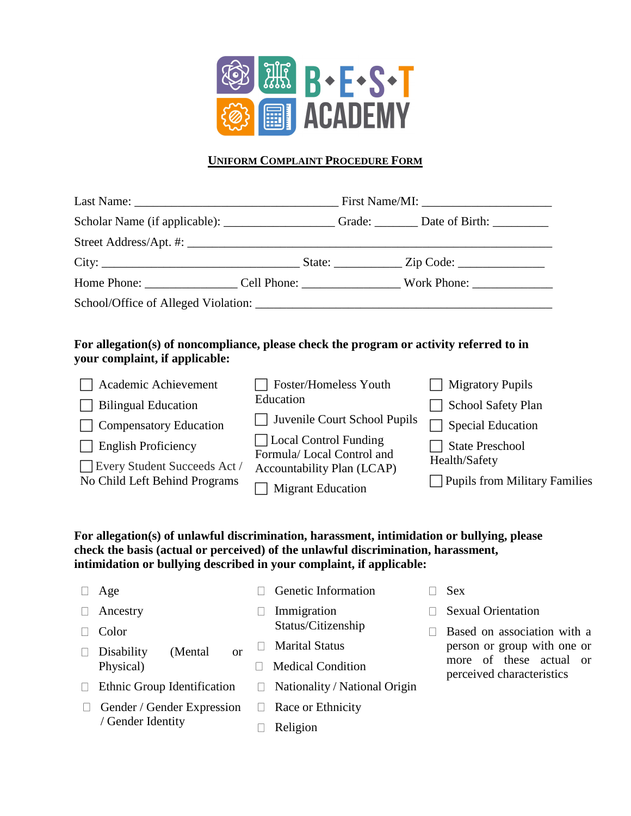

## **UNIFORM COMPLAINT PROCEDURE FORM**

| For allegation(s) of noncompliance, please check the program or activity referred to in<br>your complaint, if applicable:<br>Academic Achievement | Foster/Homeless Youth                                                                                        | <b>Migratory Pupils</b>                                                         |
|---------------------------------------------------------------------------------------------------------------------------------------------------|--------------------------------------------------------------------------------------------------------------|---------------------------------------------------------------------------------|
| <b>Bilingual Education</b><br><b>Compensatory Education</b>                                                                                       | Education<br>Juvenile Court School Pupils                                                                    | School Safety Plan<br><b>Special Education</b>                                  |
| <b>English Proficiency</b><br>Every Student Succeeds Act /<br>No Child Left Behind Programs                                                       | Local Control Funding<br>Formula/Local Control and<br>Accountability Plan (LCAP)<br><b>Migrant Education</b> | <b>State Preschool</b><br>Health/Safety<br><b>Pupils from Military Families</b> |

## **For allegation(s) of unlawful discrimination, harassment, intimidation or bullying, please check the basis (actual or perceived) of the unlawful discrimination, harassment, intimidation or bullying described in your complaint, if applicable:**

| Age                                       |  | Genetic Information               |  | <b>Sex</b>                                           |  |
|-------------------------------------------|--|-----------------------------------|--|------------------------------------------------------|--|
| Ancestry                                  |  | Immigration<br>Status/Citizenship |  | <b>Sexual Orientation</b>                            |  |
| Color                                     |  |                                   |  | Based on association with a                          |  |
| Disability<br>(Mental)<br>or<br>Physical) |  | <b>Marital Status</b>             |  | person or group with one or                          |  |
|                                           |  | <b>Medical Condition</b>          |  | more of these actual or<br>perceived characteristics |  |
| Ethnic Group Identification               |  | Nationality / National Origin     |  |                                                      |  |
| Gender / Gender Expression                |  | Race or Ethnicity                 |  |                                                      |  |
| / Gender Identity                         |  | Religion                          |  |                                                      |  |